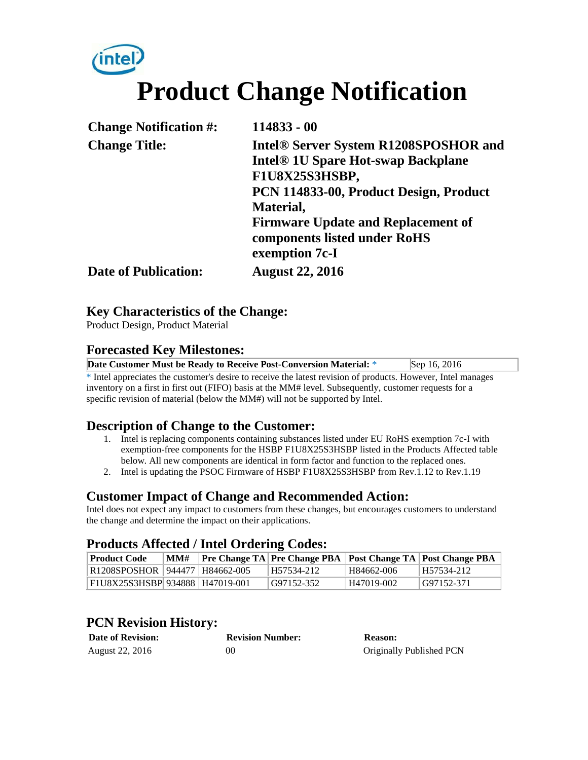# intel **Product Change Notification**

| <b>Change Notification #:</b> | $114833 - 00$                                        |
|-------------------------------|------------------------------------------------------|
| <b>Change Title:</b>          | Intel® Server System R1208SPOSHOR and                |
|                               | <b>Intel<sup>®</sup> 1U Spare Hot-swap Backplane</b> |
|                               | F1U8X25S3HSBP,                                       |
|                               | PCN 114833-00, Product Design, Product               |
|                               | Material,                                            |
|                               | <b>Firmware Update and Replacement of</b>            |
|                               | components listed under RoHS                         |
|                               | exemption 7c-I                                       |
| <b>Date of Publication:</b>   | <b>August 22, 2016</b>                               |

### **Key Characteristics of the Change:**

Product Design, Product Material

#### **Forecasted Key Milestones:**

| Date Customer Must be Ready to Receive Post-Conversion Material: *                                           | Sep 16, 2016 |  |  |  |
|--------------------------------------------------------------------------------------------------------------|--------------|--|--|--|
| * Intel appreciates the customer's desire to receive the latest revision of products. However, Intel manages |              |  |  |  |
| inventory on a first in first out (FIFO) basis at the MM# level. Subsequently, customer requests for a       |              |  |  |  |
| specific revision of material (below the MM#) will not be supported by Intel.                                |              |  |  |  |

#### **Description of Change to the Customer:**

- 1. Intel is replacing components containing substances listed under EU RoHS exemption 7c-I with exemption-free components for the HSBP F1U8X25S3HSBP listed in the Products Affected table below. All new components are identical in form factor and function to the replaced ones.
- 2. Intel is updating the PSOC Firmware of HSBP F1U8X25S3HSBP from Rev.1.12 to Rev.1.19

#### **Customer Impact of Change and Recommended Action:**

Intel does not expect any impact to customers from these changes, but encourages customers to understand the change and determine the impact on their applications.

#### **Products Affected / Intel Ordering Codes:**

| <b>Product Code</b>                | MMH | <b>Pre Change TA Pre Change PBA Post Change TA Post Change PBA</b> |              |            |
|------------------------------------|-----|--------------------------------------------------------------------|--------------|------------|
| R1208SPOSHOR   944477   H84662-005 |     | H57534-212                                                         | ' H84662-006 | H57534-212 |
| F1U8X25S3HSBP 934888   H47019-001  |     | G97152-352                                                         | H47019-002   | G97152-371 |

## **PCN Revision History:**

| <b>Date of Revision:</b> | <b>Revision Number:</b> | <b>Reason:</b> |
|--------------------------|-------------------------|----------------|
| August 22, 2016          | 00                      | Originall      |

ally Published PCN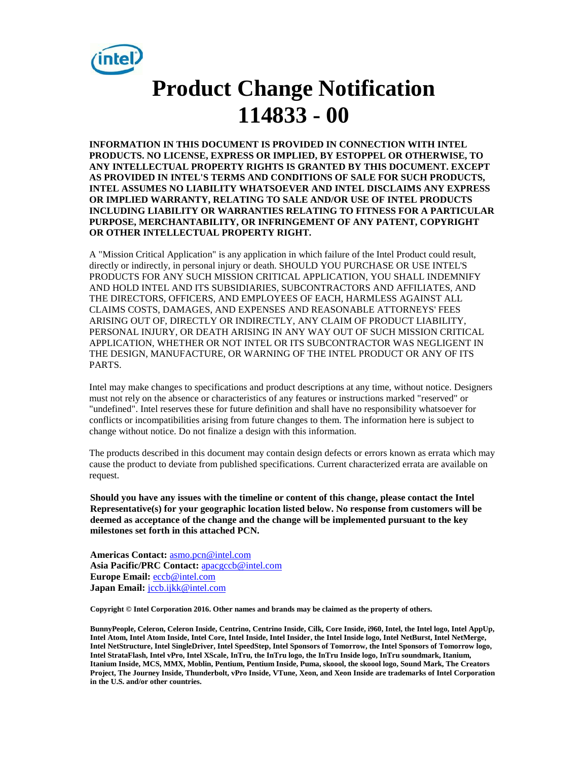

# **Product Change Notification 114833 - 00**

**INFORMATION IN THIS DOCUMENT IS PROVIDED IN CONNECTION WITH INTEL PRODUCTS. NO LICENSE, EXPRESS OR IMPLIED, BY ESTOPPEL OR OTHERWISE, TO ANY INTELLECTUAL PROPERTY RIGHTS IS GRANTED BY THIS DOCUMENT. EXCEPT AS PROVIDED IN INTEL'S TERMS AND CONDITIONS OF SALE FOR SUCH PRODUCTS, INTEL ASSUMES NO LIABILITY WHATSOEVER AND INTEL DISCLAIMS ANY EXPRESS OR IMPLIED WARRANTY, RELATING TO SALE AND/OR USE OF INTEL PRODUCTS INCLUDING LIABILITY OR WARRANTIES RELATING TO FITNESS FOR A PARTICULAR PURPOSE, MERCHANTABILITY, OR INFRINGEMENT OF ANY PATENT, COPYRIGHT OR OTHER INTELLECTUAL PROPERTY RIGHT.** 

A "Mission Critical Application" is any application in which failure of the Intel Product could result, directly or indirectly, in personal injury or death. SHOULD YOU PURCHASE OR USE INTEL'S PRODUCTS FOR ANY SUCH MISSION CRITICAL APPLICATION, YOU SHALL INDEMNIFY AND HOLD INTEL AND ITS SUBSIDIARIES, SUBCONTRACTORS AND AFFILIATES, AND THE DIRECTORS, OFFICERS, AND EMPLOYEES OF EACH, HARMLESS AGAINST ALL CLAIMS COSTS, DAMAGES, AND EXPENSES AND REASONABLE ATTORNEYS' FEES ARISING OUT OF, DIRECTLY OR INDIRECTLY, ANY CLAIM OF PRODUCT LIABILITY, PERSONAL INJURY, OR DEATH ARISING IN ANY WAY OUT OF SUCH MISSION CRITICAL APPLICATION, WHETHER OR NOT INTEL OR ITS SUBCONTRACTOR WAS NEGLIGENT IN THE DESIGN, MANUFACTURE, OR WARNING OF THE INTEL PRODUCT OR ANY OF ITS PARTS.

Intel may make changes to specifications and product descriptions at any time, without notice. Designers must not rely on the absence or characteristics of any features or instructions marked "reserved" or "undefined". Intel reserves these for future definition and shall have no responsibility whatsoever for conflicts or incompatibilities arising from future changes to them. The information here is subject to change without notice. Do not finalize a design with this information.

The products described in this document may contain design defects or errors known as errata which may cause the product to deviate from published specifications. Current characterized errata are available on request.

**Should you have any issues with the timeline or content of this change, please contact the Intel Representative(s) for your geographic location listed below. No response from customers will be deemed as acceptance of the change and the change will be implemented pursuant to the key milestones set forth in this attached PCN.** 

**Americas Contact:** [asmo.pcn@intel.com](mailto:asmo.pcn@intel.com)  **Asia Pacific/PRC Contact:** [apacgccb@intel.com](mailto:apacgccb@intel.com)  **Europe Email:** [eccb@intel.com](mailto:eccb@intel.com)  **Japan Email:** [jccb.ijkk@intel.com](mailto:jccb.ijkk@intel.com) 

**Copyright © Intel Corporation 2016. Other names and brands may be claimed as the property of others.**

**BunnyPeople, Celeron, Celeron Inside, Centrino, Centrino Inside, Cilk, Core Inside, i960, Intel, the Intel logo, Intel AppUp, Intel Atom, Intel Atom Inside, Intel Core, Intel Inside, Intel Insider, the Intel Inside logo, Intel NetBurst, Intel NetMerge, Intel NetStructure, Intel SingleDriver, Intel SpeedStep, Intel Sponsors of Tomorrow, the Intel Sponsors of Tomorrow logo, Intel StrataFlash, Intel vPro, Intel XScale, InTru, the InTru logo, the InTru Inside logo, InTru soundmark, Itanium, Itanium Inside, MCS, MMX, Moblin, Pentium, Pentium Inside, Puma, skoool, the skoool logo, Sound Mark, The Creators Project, The Journey Inside, Thunderbolt, vPro Inside, VTune, Xeon, and Xeon Inside are trademarks of Intel Corporation in the U.S. and/or other countries.**